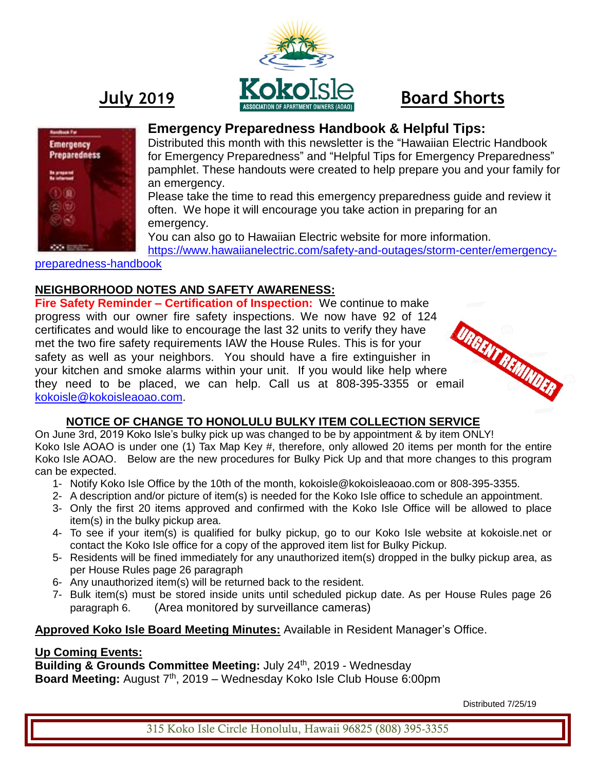



# **Emergency Preparedness Handbook & Helpful Tips:**

Distributed this month with this newsletter is the "Hawaiian Electric Handbook for Emergency Preparedness" and "Helpful Tips for Emergency Preparedness" pamphlet. These handouts were created to help prepare you and your family for an emergency.

Please take the time to read this emergency preparedness guide and review it often. We hope it will encourage you take action in preparing for an emergency.

You can also go to Hawaiian Electric website for more information.

[https://www.hawaiianelectric.com/safety-and-outages/storm-center/emergency](https://www.hawaiianelectric.com/safety-and-outages/storm-center/emergency-preparedness-handbook)[preparedness-handbook](https://www.hawaiianelectric.com/safety-and-outages/storm-center/emergency-preparedness-handbook)

#### **NEIGHBORHOOD NOTES AND SAFETY AWARENESS:**

**Fire Safety Reminder – Certification of Inspection:** We continue to make progress with our owner fire safety inspections. We now have 92 of 124 certificates and would like to encourage the last 32 units to verify they have met the two fire safety requirements IAW the House Rules. This is for your safety as well as your neighbors. You should have a fire extinguisher in your kitchen and smoke alarms within your unit. If you would like help where progress....<br>certificates and would like to cross<br>met the two fire safety requirements IAW the House ...<br>safety as well as your neighbors. You should have a fire extinguistier...<br>your kitchen and smoke alarms within your u [kokoisle@kokoisleaoao.com.](mailto:kokoisle@kokoisleaoao.com)

## **NOTICE OF CHANGE TO HONOLULU BULKY ITEM COLLECTION SERVICE**

On June 3rd, 2019 Koko Isle's bulky pick up was changed to be by appointment & by item ONLY! Koko Isle AOAO is under one (1) Tax Map Key #, therefore, only allowed 20 items per month for the entire Koko Isle AOAO. Below are the new procedures for Bulky Pick Up and that more changes to this program can be expected.

- 1- Notify Koko Isle Office by the 10th of the month, kokoisle@kokoisleaoao.com or 808-395-3355.
- 2- A description and/or picture of item(s) is needed for the Koko Isle office to schedule an appointment.
- 3- Only the first 20 items approved and confirmed with the Koko Isle Office will be allowed to place item(s) in the bulky pickup area.
- 4- To see if your item(s) is qualified for bulky pickup, go to our Koko Isle website at kokoisle.net or contact the Koko Isle office for a copy of the approved item list for Bulky Pickup.
- 5- Residents will be fined immediately for any unauthorized item(s) dropped in the bulky pickup area, as per House Rules page 26 paragraph
- 6- Any unauthorized item(s) will be returned back to the resident.
- 7- Bulk item(s) must be stored inside units until scheduled pickup date. As per House Rules page 26 paragraph 6. (Area monitored by surveillance cameras)

## **Approved Koko Isle Board Meeting Minutes:** Available in Resident Manager's Office.

#### **Up Coming Events:**

**Building & Grounds Committee Meeting:** July 24<sup>th</sup>, 2019 - Wednesday Board Meeting: August 7<sup>th</sup>, 2019 – Wednesday Koko Isle Club House 6:00pm

Distributed 7/25/19

315 Koko Isle Circle Honolulu, Hawaii 96825 (808) 395-3355